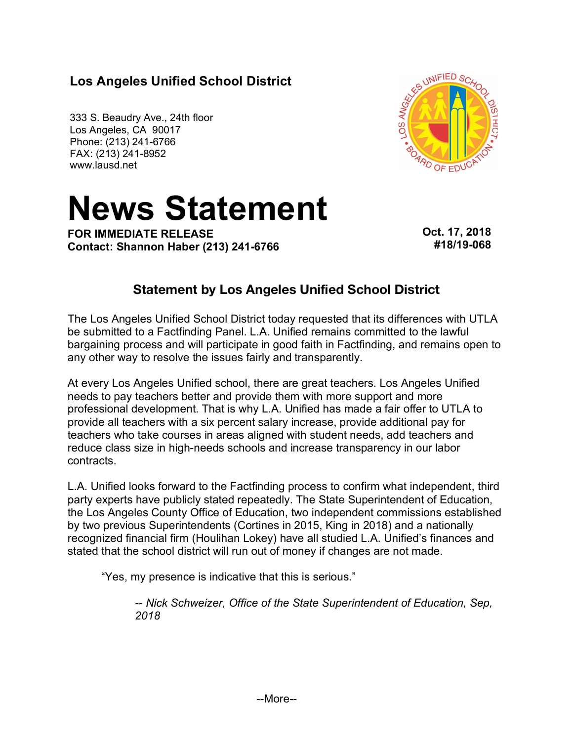# **Los Angeles Unified School District**

333 S. Beaudry Ave., 24th floor Los Angeles, CA 90017 Phone: (213) 241-6766 FAX: (213) 241-8952 www.lausd.net



# **News Statement** I 42 W 3

**FOR IMMEDIATE RELEASE Contact: Shannon Haber (213) 241-6766**  **Oct. 17, 2018 #18/19-068**

## **Statement by Los Angeles Unified School District**

The Los Angeles Unified School District today requested that its differences with UTLA be submitted to a Factfinding Panel. L.A. Unified remains committed to the lawful bargaining process and will participate in good faith in Factfinding, and remains open to any other way to resolve the issues fairly and transparently.

At every Los Angeles Unified school, there are great teachers. Los Angeles Unified needs to pay teachers better and provide them with more support and more professional development. That is why L.A. Unified has made a fair offer to UTLA to provide all teachers with a six percent salary increase, provide additional pay for teachers who take courses in areas aligned with student needs, add teachers and reduce class size in high-needs schools and increase transparency in our labor contracts.

L.A. Unified looks forward to the Factfinding process to confirm what independent, third party experts have publicly stated repeatedly. The State Superintendent of Education, the Los Angeles County Office of Education, two independent commissions established by two previous Superintendents (Cortines in 2015, King in 2018) and a nationally recognized financial firm (Houlihan Lokey) have all studied L.A. Unified's finances and stated that the school district will run out of money if changes are not made.

"Yes, my presence is indicative that this is serious."

*-- Nick Schweizer, Office of the State Superintendent of Education, Sep, 2018*